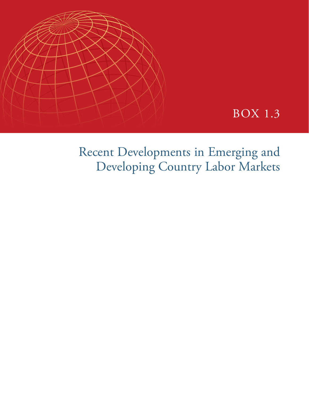

# BOX 1.3

Recent Developments in Emerging and Developing Country Labor Markets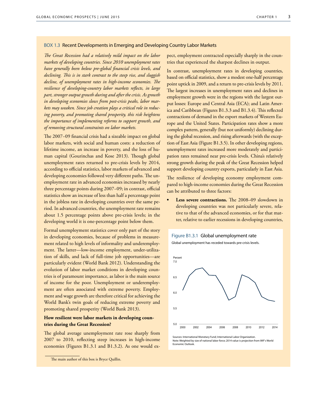### BOX 1.3 Recent Developments in Emerging and Developing Country Labor Markets

*The Great Recession had a relatively mild impact on the labor markets of developing countries. Since 2010 unemployment rates have generally been below pre-global financial crisis levels, and declining. This is in stark contrast to the steep rise, and sluggish decline, of unemployment rates in high-income economies. The resilience of developing-country labor markets reflects, in large part, stronger output growth during and after the crisis. As growth in developing economies slows from post-crisis peaks, labor markets may weaken. Since job creation plays a critical role in reducing poverty, and promoting shared prosperity, this risk heightens the importance of implementing reforms to support growth, and of removing structural constraints on labor markets.* 

The 2007−09 financial crisis had a sizeable impact on global labor markets, with social and human costs: a reduction of lifetime income, an increase in poverty, and the loss of human capital (Gourinchas and Kose 2013). Though global unemployment rates returned to pre-crisis levels by 2014, according to official statistics, labor markets of advanced and developing economies followed very different paths. The unemployment rate in advanced economies increased by nearly three percentage points during 2007−09; in contrast, official statistics show an increase of less than half a percentage point in the jobless rate in developing countries over the same period. In advanced countries, the unemployment rate remains about 1.5 percentage points above pre-crisis levels; in the developing world it is one-percentage point below them.

Formal unemployment statistics cover only part of the story in developing economies, because of problems in measurement related to high levels of informality and underemployment. The latter—low-income employment, under-utilization of skills, and lack of full-time job opportunities—are particularly evident (World Bank 2012). Understanding the evolution of labor market conditions in developing countries is of paramount importance, as labor is the main source of income for the poor. Unemployment or underemployment are often associated with extreme poverty. Employment and wage growth are therefore critical for achieving the World Bank's twin goals of reducing extreme poverty and promoting shared prosperity (World Bank 2013).

# **How resilient were labor markets in developing countries during the Great Recession?**

The global average unemployment rate rose sharply from 2007 to 2010, reflecting steep increases in high-income economies (Figures B1.3.1 and B1.3.2). As one would expect, employment contracted especially sharply in the countries that experienced the sharpest declines in output.

In contrast, unemployment rates in developing countries, based on official statistics, show a modest one-half percentage point uptick in 2009, and a return to pre-crisis levels by 2011. The largest increases in unemployment rates and declines in employment growth were in the regions with the largest output losses: Europe and Central Asia (ECA); and Latin America and Caribbean (Figures B1.3.3 and B1.3.4). This reflected contractions of demand in the export markets of Western Europe and the United States. Participation rates show a more complex pattern, generally (but not uniformly) declining during the global recession, and rising afterwards (with the exception of East Asia (Figure B1.3.5). In other developing regions, unemployment rates increased more moderately and participation rates remained near pre-crisis levels. China's relatively strong growth during the peak of the Great Recession helped support developing country exports, particularly in East Asia.

The resilience of developing economy employment compared to high-income economies during the Great Recession can be attributed to three factors:

**• Less severe contractions.** The 2008–09 slowdown in developing countries was not particularly severe, relative to that of the advanced economies, or for that matter, relative to earlier recessions in developing countries,



Global unemployment has receded towards pre-crisis levels.



Sources: International Monetary Fund; International Labor Organization. Note: Weighted by size of national labor force; 2014 value is projection from IMF's World Economic Outlook.

The main author of this box is Bryce Quillin.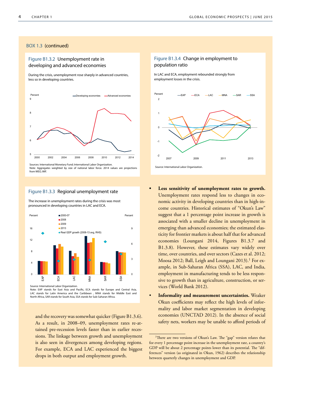# Figure B1.3.2 Unemployment rate in developing and advanced economies

During the crisis, unemployment rose sharply in advanced countries, less so in developing countries.



Note: Aggregates weighted by size of national labor force. 2014 values are projections from WEO, IMF.

#### Figure B1.3.3 Regional unemployment rate

The increase in unemployment rates during the crisis was most pronounced in developing countries in LAC and ECA.



Note: EAP stands for East Asia and Pacific, ECA stands for Europe and Central Asia, LAC stands for Latin America and the Caribbean , MNA stands for Middle East and North Africa, SAR stands for South Asia, SSA stands for Sub-Saharan Africa.

and the recovery was somewhat quicker (Figure B1.3.6). As a result, in 2008–09, unemployment rates re-attained pre-recession levels faster than in earlier recessions. The linkage between growth and unemployment is also seen in divergences among developing regions. For example, ECA and LAC experienced the biggest drops in both output and employment growth.

# Figure B1.3.4 Change in employment to population ratio

In LAC and ECA, employment rebounded strongly from employment losses in the crisis.



- **• Less sensitivity of unemployment rates to growth.** 
	- Unemployment rates respond less to changes in economic activity in developing countries than in high-income countries. Historical estimates of "Okun's Law" suggest that a 1 percentage point increase in growth is associated with a smaller decline in unemployment in emerging than advanced economies; the estimated elasticity for frontier markets is about half that for advanced economies (Loungani 2014, Figures B1.3.7 and B1.3.8). However, these estimates vary widely over time, over countries, and over sectors (Cazes et al. 2012; Moosa 2012; Ball, Leigh and Loungani 2013).<sup>1</sup> For example, in Sub-Saharan Africa (SSA), LAC, and India, employment in manufacturing tends to be less responsive to growth than in agriculture, construction, or services (World Bank 2012).
- **Informality and measurement uncertainties.** Weaker Okun coefficients may reflect the high levels of informality and labor market segmentation in developing economies (UNCTAD 2012). In the absence of social safety nets, workers may be unable to afford periods of

<sup>&</sup>lt;sup>1</sup>There are two versions of Okun's Law. The "gap" version relates that for every 1 percentage point increase in the unemployment rate, a country's GDP will be about 2 percentage points lower than its potential. The "differences" version (as originated in Okun, 1962) describes the relationship between quarterly changes in unemployment and GDP.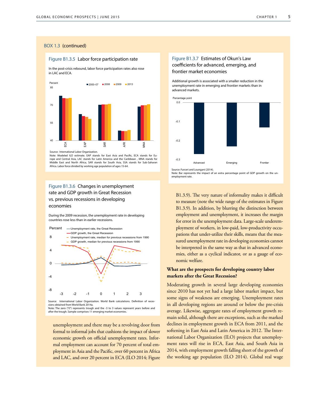#### Figure B1.3.5 Labor force participation rate

In the post-crisis rebound, labor force participation rates also rose in LAC and ECA.



Note: Modeled ILO estimate. EAP stands for East Asia and Pacific, ECA stands for Europe and Central Asia, LAC stands for Latin America and the Caribbean , MNA stands for Middle East and North Africa, SAR stands for South Asia, SSA stands for Sub-Saharan

#### Africa. Labor force divided by working age population of ages 15-64.

# Figure B1.3.6 Changes in unemployment rate and GDP growth in Great Recession vs. previous recessions in developing economies

During the 2009 recession, the unemployment rate in developing countries rose less than in earlier recessions.



sions obtained from World Bank 2014a. Note: The zero ("0") represents trough and the -3 to 3 values represent years before and after the trough. Sample comprises 11 emerging market economies.

unemployment and there may be a revolving door from formal to informal jobs that cushions the impact of slower economic growth on official unemployment rates. Informal employment can account for 70 percent of total employment in Asia and the Pacific, over 60 percent in Africa and LAC, and over 20 percent in ECA (ILO 2014; Figure

# Figure B1.3.7 Estimates of Okun's Law coefficients for advanced, emerging, and frontier market economies

Additional growth is associated with a smaller reduction in the unemployment rate in emerging and frontier markets than in advanced markets.



Source: Furceri and Loungani (2014).

Note: Bar represents the impact of an extra percentage point of GDP growth on the unemployment rate.

B1.3.9). The very nature of informality makes it difficult to measure (note the wide range of the estimates in Figure B1.3.9). In addition, by blurring the distinction between employment and unemployment, it increases the margin for error in the unemployment data. Large-scale underemployment of workers, in low-paid, low-productivity occupations that under-utilize their skills, means that the measured unemployment rate in developing economies cannot be interpreted in the same way as that in advanced economies, either as a cyclical indicator, or as a gauge of economic welfare.

# **What are the prospects for developing country labor markets after the Great Recession?**

Moderating growth in several large developing economies since 2010 has not yet had a large labor market impact, but some signs of weakness are emerging. Unemployment rates in all developing regions are around or below the pre-crisis average. Likewise, aggregate rates of employment growth remain solid, although there are exceptions, such as the marked declines in employment growth in ECA from 2011, and the softening in East Asia and Latin America in 2012. The International Labor Organization (ILO) projects that unemployment rates will rise in ECA, East Asia, and South Asia in 2014, with employment growth falling short of the growth of the working age population (ILO 2014). Global real wage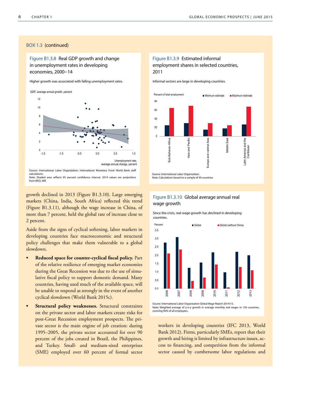Figure B1.3.8 Real GDP growth and change in unemployment rates in developing economies, 2000−14

Higher growth was associated with falling unemployment rates.



Source: International Labor Organization; International Monetary Fund. World Bank staff calculations. Note: Shaded area reflects 95 percent confidence interval. 2014 values are projections from WEO, IMF

growth declined in 2013 (Figure B1.3.10). Large emerging markets (China, India, South Africa) reflected this trend (Figure B1.3.11), although the wage increase in China, of more than 7 percent, held the global rate of increase close to 2 percent.

Aside from the signs of cyclical softening, labor markets in developing countries face macroeconomic and structural policy challenges that make them vulnerable to a global slowdown.

- **• Reduced space for counter-cyclical fiscal policy.** Part of the relative resilience of emerging market economies during the Great Recession was due to the use of simulative fiscal policy to support domestic demand. Many countries, having used much of the available space, will be unable to respond as strongly in the event of another cyclical slowdown (World Bank 2015c).
- **Structural policy weaknesses.** Structural constraints on the private sector and labor markets create risks for post-Great Recession employment prospects. The private sector is the main engine of job creation: during 1995−2005, the private sector accounted for over 90 percent of the jobs created in Brazil, the Philippines, and Turkey. Small- and medium-sized enterprises (SME) employed over 60 percent of formal sector

# Figure B1.3.9 Estimated informal employment shares in selected countries, 2011

Informal sectors are large in developing countries.



Note: Calculations based on a sample of 49 countries.

Figure B1.3.10 Global average annual real wage growth

Since the crisis, real wage growth has declined in developing countries.



Source: International Labor Organization Global Wage Report 2014/15. Note: Weighted average of y-o-y growth in average monthly real wages in 130 countries, covering 96% of all employees.

workers in developing countries (IFC 2013, World Bank 2012). Firms, particularly SMEs, report that their growth and hiring is limited by infrastructure issues, access to financing, and competition from the informal sector caused by cumbersome labor regulations and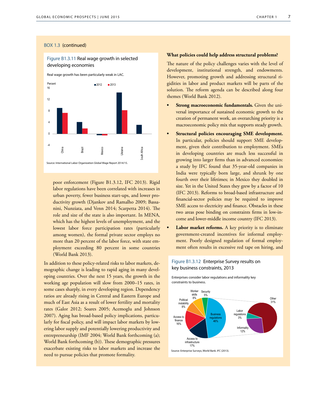# Figure B1.3.11 Real wage growth in selected developing economies

Real wage growth has been particularly weak in LAC.



poor enforcement (Figure B1.3.12, IFC 2013). Rigid labor regulations have been correlated with increases in urban poverty, fewer business start-ups, and lower productivity growth (Djankov and Ramalho 2009; Bassanini, Nunziata, and Venn 2014; Scarpetta 2014). The role and size of the state is also important. In MENA, which has the highest levels of unemployment, and the lowest labor force participation rates (particularly among women), the formal private sector employs no more than 20 percent of the labor force, with state employment exceeding 80 percent in some countries (World Bank 2013).

In addition to these policy-related risks to labor markets, demographic change is leading to rapid aging in many developing countries. Over the next 15 years, the growth in the working age population will slow from 2000–15 rates, in some cases sharply, in every developing region. Dependency ratios are already rising in Central and Eastern Europe and much of East Asia as a result of lower fertility and mortality rates (Galor 2012; Soares 2005; Acemoglu and Johnson 2007). Aging has broad-based policy implications, particularly for fiscal policy, and will impact labor markets by lowering labor supply and potentially lowering productivity and entrepreneurship (IMF 2004; World Bank forthcoming (a); World Bank forthcoming (b)). These demographic pressures exacerbate existing risks to labor markets and increase the need to pursue policies that promote formality.

#### **What policies could help address structural problems?**

The nature of the policy challenges varies with the level of development, institutional strength, and endowments. However, promoting growth and addressing structural rigidities in labor and product markets will be parts of the solution. The reform agenda can be described along four themes (World Bank 2012).

- **• Strong macroeconomic fundamentals.** Given the universal importance of sustained economic growth to the creation of permanent work, an overarching priority is a macroeconomic policy mix that supports steady growth.
- **• Structural policies encouraging SME development.**  In particular, policies should support SME development, given their contribution to employment. SMEs in developing countries are much less successful in growing into larger firms than in advanced economies: a study by IFC found that 35-year-old companies in India were typically born large, and shrunk by one fourth over their lifetimes; in Mexico they doubled in size. Yet in the United States they grew by a factor of 10 (IFC 2013). Reforms to broad-based infrastructure and financial-sector policies may be required to improve SME access to electricity and finance. Obstacles in these two areas pose binding on constraints firms in low-income and lower-middle income country (IFC 2013).
- **• Labor market reforms.** A key priority is to eliminate government-created incentives for informal employment. Poorly designed regulation of formal employment often results in excessive red tape on hiring, and

# Figure B1.3.12 Enterprise Survey results on key business constraints, 2013

Enterprises consider labor regulations and informality key constraints to business.



Source: Enterprise Surveys, World Bank. IFC (2013).